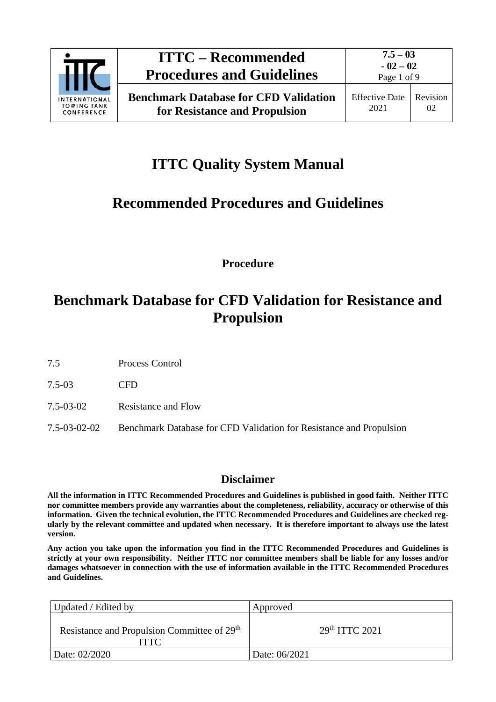

# **ITTC Quality System Manual**

## **Recommended Procedures and Guidelines**

**Procedure**

# **Benchmark Database for CFD Validation for Resistance and Propulsion**

7.5 Process Control

7.5-03 CFD

- 7.5-03-02 Resistance and Flow
- 7.5-03-02-02 Benchmark Database for CFD Validation for Resistance and Propulsion

### **Disclaimer**

**All the information in ITTC Recommended Procedures and Guidelines is published in good faith. Neither ITTC nor committee members provide any warranties about the completeness, reliability, accuracy or otherwise of this information. Given the technical evolution, the ITTC Recommended Procedures and Guidelines are checked regularly by the relevant committee and updated when necessary. It is therefore important to always use the latest version.**

**Any action you take upon the information you find in the ITTC Recommended Procedures and Guidelines is strictly at your own responsibility. Neither ITTC nor committee members shall be liable for any losses and/or damages whatsoever in connection with the use of information available in the ITTC Recommended Procedures and Guidelines.**

| Updated / Edited by                                                    | Approved         |
|------------------------------------------------------------------------|------------------|
| Resistance and Propulsion Committee of 29 <sup>th</sup><br><b>ITTC</b> | $29th$ ITTC 2021 |
| Date: 02/2020                                                          | Date: 06/2021    |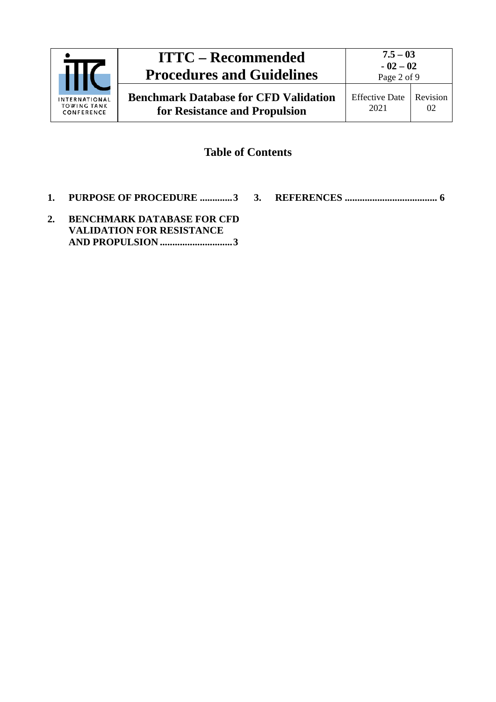

## **Table of Contents**

- **1. [PURPOSE OF PROCEDURE](#page-2-0) .............3**
- **3. REFERENCES [.....................................](#page-5-0) 6**
- **2. [BENCHMARK DATABASE FOR CFD](#page-2-1)  [VALIDATION FOR RESISTANCE](#page-2-1)  [AND PROPULSION](#page-2-1) .............................3**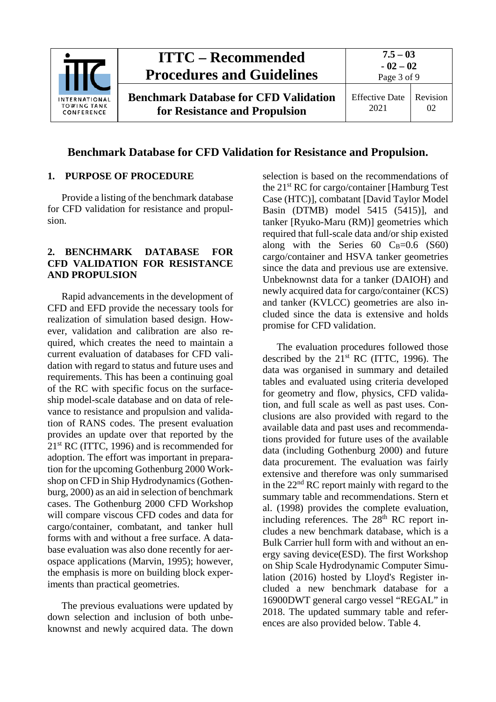

## **Benchmark Database for CFD Validation for Resistance and Propulsion.**

#### <span id="page-2-0"></span>**1. PURPOSE OF PROCEDURE**

Provide a listing of the benchmark database for CFD validation for resistance and propulsion.

### <span id="page-2-1"></span>**2. BENCHMARK DATABASE FOR CFD VALIDATION FOR RESISTANCE AND PROPULSION**

Rapid advancements in the development of CFD and EFD provide the necessary tools for realization of simulation based design. However, validation and calibration are also required, which creates the need to maintain a current evaluation of databases for CFD validation with regard to status and future uses and requirements. This has been a continuing goal of the RC with specific focus on the surfaceship model-scale database and on data of relevance to resistance and propulsion and validation of RANS codes. The present evaluation provides an update over that reported by the 21<sup>st</sup> RC (ITTC, 1996) and is recommended for adoption. The effort was important in preparation for the upcoming Gothenburg 2000 Workshop on CFD in Ship Hydrodynamics (Gothenburg, 2000) as an aid in selection of benchmark cases. The Gothenburg 2000 CFD Workshop will compare viscous CFD codes and data for cargo/container, combatant, and tanker hull forms with and without a free surface. A database evaluation was also done recently for aerospace applications (Marvin, 1995); however, the emphasis is more on building block experiments than practical geometries.

The previous evaluations were updated by down selection and inclusion of both unbeknownst and newly acquired data. The down

selection is based on the recommendations of the 21st RC for cargo/container [Hamburg Test Case (HTC)], combatant [David Taylor Model Basin (DTMB) model 5415 (5415)], and tanker [Ryuko-Maru (RM)] geometries which required that full-scale data and/or ship existed along with the Series  $60 \text{ C}_B = 0.6 \text{ (S}60)$ cargo/container and HSVA tanker geometries since the data and previous use are extensive. Unbeknownst data for a tanker (DAIOH) and newly acquired data for cargo/container (KCS) and tanker (KVLCC) geometries are also included since the data is extensive and holds promise for CFD validation.

The evaluation procedures followed those described by the  $21<sup>st</sup> RC$  (ITTC, 1996). The data was organised in summary and detailed tables and evaluated using criteria developed for geometry and flow, physics, CFD validation, and full scale as well as past uses. Conclusions are also provided with regard to the available data and past uses and recommendations provided for future uses of the available data (including Gothenburg 2000) and future data procurement. The evaluation was fairly extensive and therefore was only summarised in the 22nd RC report mainly with regard to the summary table and recommendations. Stern et al. (1998) provides the complete evaluation, including references. The  $28<sup>th</sup>$  RC report includes a new benchmark database, which is a Bulk Carrier hull form with and without an energy saving device(ESD). The first Workshop on Ship Scale Hydrodynamic Computer Simulation (2016) hosted by Lloyd's Register included a new benchmark database for a 16900DWT general cargo vessel "REGAL" in 2018. The updated summary table and references are also provided below. Table 4.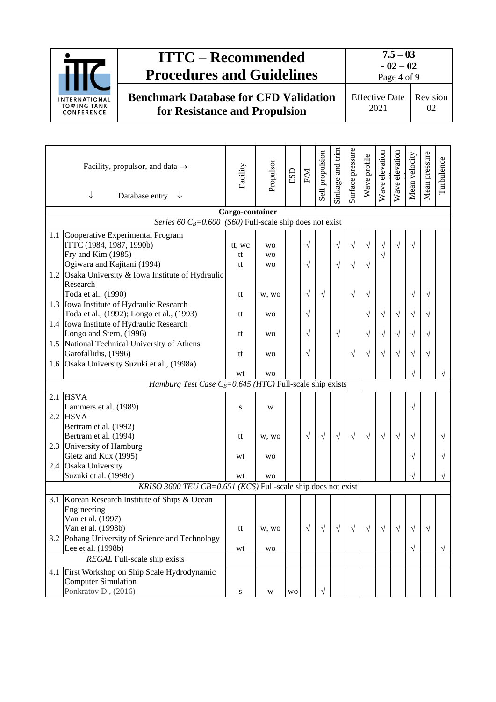

|     | Facility, propulsor, and data $\rightarrow$<br>↓<br>Database entry $\downarrow$       | Facility | Propulsor      | $_{\rm ESD}$ | EM        | Self propulsion | Sinkage and trim | Surface pressure | Wave profile | Wave elevation | Wave elevation | Mean velocity | Mean pressure | Turbulence |
|-----|---------------------------------------------------------------------------------------|----------|----------------|--------------|-----------|-----------------|------------------|------------------|--------------|----------------|----------------|---------------|---------------|------------|
|     | Cargo-container<br>Series 60 $C_B$ =0.600 (S60) Full-scale ship does not exist        |          |                |              |           |                 |                  |                  |              |                |                |               |               |            |
|     | 1.1 Cooperative Experimental Program                                                  |          |                |              |           |                 |                  |                  |              |                |                |               |               |            |
|     | ITTC (1984, 1987, 1990b)                                                              | tt, wc   | <b>WO</b>      |              | $\sqrt{}$ |                 | $\sqrt{ }$       | $\sqrt{}$        | $\sqrt{}$    | $\sqrt{}$      | $\sqrt{}$      | $\sqrt{}$     |               |            |
|     | Fry and Kim (1985)                                                                    | tt       | <b>WO</b>      |              |           |                 |                  |                  |              | $\sqrt{}$      |                |               |               |            |
|     | Ogiwara and Kajitani (1994)                                                           | tt       | <b>WO</b>      |              | $\sqrt{}$ |                 | $\sqrt{}$        | $\sqrt{ }$       | $\sqrt{}$    |                |                |               |               |            |
|     | 1.2 Osaka University & Iowa Institute of Hydraulic                                    |          |                |              |           |                 |                  |                  |              |                |                |               |               |            |
|     | Research                                                                              |          |                |              |           |                 |                  |                  |              |                |                |               |               |            |
|     | Toda et al., (1990)                                                                   | tt       | w, wo          |              | V         | $\sqrt{}$       |                  | $\sqrt{}$        | V            |                |                | V             | V             |            |
|     | 1.3 Iowa Institute of Hydraulic Research                                              |          |                |              |           |                 |                  |                  |              |                |                |               |               |            |
|     | Toda et al., (1992); Longo et al., (1993)                                             | tt       | <b>WO</b>      |              | V         |                 |                  |                  | V            | $\sqrt{}$      | $\sqrt{}$      | V             | V             |            |
|     | 1.4 Iowa Institute of Hydraulic Research<br>Longo and Stern, (1996)                   |          |                |              |           |                 |                  |                  |              |                |                |               |               |            |
|     | 1.5 National Technical University of Athens                                           | tt       | <b>WO</b>      |              | $\sqrt{}$ |                 | $\sqrt{}$        |                  | V            | $\sqrt{}$      | $\sqrt{}$      | V             | V             |            |
|     | Garofallidis, (1996)                                                                  | tt       | <b>WO</b>      |              | $\sqrt{}$ |                 |                  | V                | V            | $\sqrt{}$      | $\sqrt{}$      | V             | V             |            |
|     | 1.6 Osaka University Suzuki et al., (1998a)                                           |          |                |              |           |                 |                  |                  |              |                |                |               |               |            |
|     |                                                                                       | wt       | <b>WO</b>      |              |           |                 |                  |                  |              |                |                |               |               | V          |
|     | <i>Hamburg Test Case C<sub>B</sub>=0.645 (HTC)</i> Full-scale ship exists             |          |                |              |           |                 |                  |                  |              |                |                |               |               |            |
| 2.1 | <b>HSVA</b>                                                                           |          |                |              |           |                 |                  |                  |              |                |                |               |               |            |
|     | Lammers et al. (1989)                                                                 | S        | W              |              |           |                 |                  |                  |              |                |                | $\sqrt{ }$    |               |            |
|     | $2.2$ HSVA                                                                            |          |                |              |           |                 |                  |                  |              |                |                |               |               |            |
|     | Bertram et al. (1992)                                                                 |          |                |              |           |                 |                  |                  |              |                |                |               |               |            |
|     | Bertram et al. (1994)                                                                 | tt       | w, wo          |              | $\sqrt{}$ | $\sqrt{ }$      | $\sqrt{ }$       | $\sqrt{ }$       | $\sqrt{ }$   | $\sqrt{ }$     | $\sqrt{}$      | $\sqrt{}$     |               | $\sqrt{}$  |
|     | 2.3 University of Hamburg                                                             |          |                |              |           |                 |                  |                  |              |                |                |               |               |            |
|     | Gietz and Kux (1995)                                                                  | wt       | <b>WO</b>      |              |           |                 |                  |                  |              |                |                | V             |               |            |
|     | 2.4 Osaka University                                                                  |          |                |              |           |                 |                  |                  |              |                |                |               |               | $\sqrt{}$  |
|     | Suzuki et al. (1998c)<br>KRISO 3600 TEU CB=0.651 (KCS) Full-scale ship does not exist | wt       | W <sub>O</sub> |              |           |                 |                  |                  |              |                |                | V             |               |            |
| 3.1 | Korean Research Institute of Ships & Ocean                                            |          |                |              |           |                 |                  |                  |              |                |                |               |               |            |
|     | Engineering                                                                           |          |                |              |           |                 |                  |                  |              |                |                |               |               |            |
|     | Van et al. (1997)                                                                     |          |                |              |           |                 |                  |                  |              |                |                |               |               |            |
|     | Van et al. (1998b)                                                                    | tt       | w, wo          |              | $\sqrt{}$ | $\sqrt{}$       | $\sqrt{}$        | $\sqrt{}$        | V            | $\sqrt{}$      | V              |               | V             |            |
|     | 3.2 Pohang University of Science and Technology                                       |          |                |              |           |                 |                  |                  |              |                |                |               |               |            |
|     | Lee et al. (1998b)                                                                    | wt       | <b>WO</b>      |              |           |                 |                  |                  |              |                |                | $\sqrt{ }$    |               | $\sqrt{}$  |
|     | REGAL Full-scale ship exists                                                          |          |                |              |           |                 |                  |                  |              |                |                |               |               |            |
|     | 4.1 First Workshop on Ship Scale Hydrodynamic                                         |          |                |              |           |                 |                  |                  |              |                |                |               |               |            |
|     | <b>Computer Simulation</b>                                                            |          |                |              |           |                 |                  |                  |              |                |                |               |               |            |
|     | Ponkratov D., (2016)                                                                  | S        | W              | <b>WO</b>    |           | $\sqrt{}$       |                  |                  |              |                |                |               |               |            |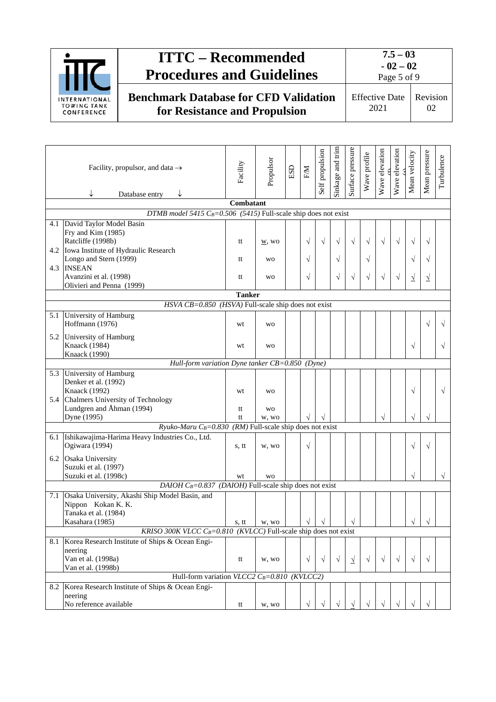

|                                                                                | Facility, propulsor, and data $\rightarrow$<br>↓<br>Database entry                                     | Facility      | Propulsor            | $_{\rm ESD}$ | EM        | Self propulsion | Sinkage and trim | Surface pressure | Wave profile | Wave elevation | Wave elevation | Mean velocity | Mean pressure | Turbulence |
|--------------------------------------------------------------------------------|--------------------------------------------------------------------------------------------------------|---------------|----------------------|--------------|-----------|-----------------|------------------|------------------|--------------|----------------|----------------|---------------|---------------|------------|
| Combatant<br>DTMB model 5415 $C_B=0.506$ (5415) Full-scale ship does not exist |                                                                                                        |               |                      |              |           |                 |                  |                  |              |                |                |               |               |            |
|                                                                                | 4.1 David Taylor Model Basin                                                                           |               |                      |              |           |                 |                  |                  |              |                |                |               |               |            |
|                                                                                | Fry and Kim (1985)<br>Ratcliffe (1998b)<br>4.2 Iowa Institute of Hydraulic Research                    | tt            | $\underline{W}$ , WO |              | $\sqrt{}$ | $\sqrt{ }$      | $\sqrt{ }$       | $\sqrt{ }$       | $\sqrt{ }$   | $\sqrt{ }$     | $\sqrt{ }$     |               | V             |            |
|                                                                                | Longo and Stern (1999)<br>4.3 INSEAN                                                                   | tt            | <b>WO</b>            |              | $\sqrt{}$ |                 | $\sqrt{}$        |                  | V            |                |                | V             | V             |            |
|                                                                                | Avanzini et al. (1998)<br>Olivieri and Penna (1999)                                                    | tt            | <b>WO</b>            |              | $\sqrt{}$ |                 | $\sqrt{}$        | $\sqrt{ }$       | $\sqrt{ }$   | $\sqrt{ }$     | $\sqrt{ }$     | <u>y</u>      | <u>اد</u>     |            |
|                                                                                |                                                                                                        | <b>Tanker</b> |                      |              |           |                 |                  |                  |              |                |                |               |               |            |
|                                                                                | $HSVA$ $CB = 0.850$ (HSVA) Full-scale ship does not exist                                              |               |                      |              |           |                 |                  |                  |              |                |                |               |               |            |
| 5.1                                                                            | University of Hamburg<br>Hoffmann (1976)                                                               | wt            | <b>WO</b>            |              |           |                 |                  |                  |              |                |                |               | V             |            |
|                                                                                | 5.2 University of Hamburg<br>Knaack (1984)<br>Knaack (1990)                                            | wt            | <b>WO</b>            |              |           |                 |                  |                  |              |                |                | $\sqrt{ }$    |               |            |
|                                                                                | Hull-form variation Dyne tanker CB=0.850 (Dyne)                                                        |               |                      |              |           |                 |                  |                  |              |                |                |               |               |            |
|                                                                                | 5.3 University of Hamburg<br>Denker et al. (1992)<br>Knaack (1992)                                     | wt            | <b>WO</b>            |              |           |                 |                  |                  |              |                |                | $\sqrt{ }$    |               |            |
|                                                                                | 5.4 Chalmers University of Technology<br>Lundgren and Åhman (1994)<br>Dyne (1995)                      | tt<br>tt      | <b>WO</b><br>w, wo   |              |           |                 |                  |                  |              |                |                |               |               |            |
|                                                                                | Ryuko-Maru C <sub>B</sub> =0.830 (RM) Full-scale ship does not exist                                   |               |                      |              |           |                 |                  |                  |              |                |                |               |               |            |
| 6.1                                                                            | Ishikawajima-Harima Heavy Industries Co., Ltd.<br>Ogiwara (1994)                                       | s, tt         | w, wo                |              | $\sqrt{}$ |                 |                  |                  |              |                |                | $\sqrt{}$     |               |            |
|                                                                                | 6.2 Osaka University<br>Suzuki et al. (1997)<br>Suzuki et al. (1998c)                                  | wt            | <b>WO</b>            |              |           |                 |                  |                  |              |                |                |               |               |            |
|                                                                                | DAIOH $C_B=0.837$ (DAIOH) Full-scale ship does not exist                                               |               |                      |              |           |                 |                  |                  |              |                |                |               |               |            |
| 7.1                                                                            | Osaka University, Akashi Ship Model Basin, and<br>Nippon Kokan K. K.<br>Tanaka et al. (1984)           |               |                      |              |           |                 |                  |                  |              |                |                |               |               |            |
|                                                                                | Kasahara (1985)                                                                                        | s, tt         | w, wo                |              |           |                 |                  |                  |              |                |                |               |               |            |
|                                                                                | KRISO 300K VLCC C <sub>B</sub> =0.810 (KVLCC) Full-scale ship does not exist                           |               |                      |              |           |                 |                  |                  |              |                |                |               |               |            |
| 8.1                                                                            | Korea Research Institute of Ships & Ocean Engi-<br>neering<br>Van et al. (1998a)<br>Van et al. (1998b) | tt            | w, wo                |              | $\sqrt{}$ | $\sqrt{}$       | $\sqrt{}$        | $\sqrt{ }$       | $\sqrt{}$    | $\sqrt{}$      | $\sqrt{}$      | $\sqrt{ }$    | $\sqrt{ }$    |            |
|                                                                                | Hull-form variation VLCC2 $C_B=0.810$ (KVLCC2)                                                         |               |                      |              |           |                 |                  |                  |              |                |                |               |               |            |
| 8.2                                                                            | Korea Research Institute of Ships & Ocean Engi-<br>neering<br>No reference available                   | tt            | w, wo                |              | $\sqrt{}$ | V               |                  |                  |              |                |                |               |               |            |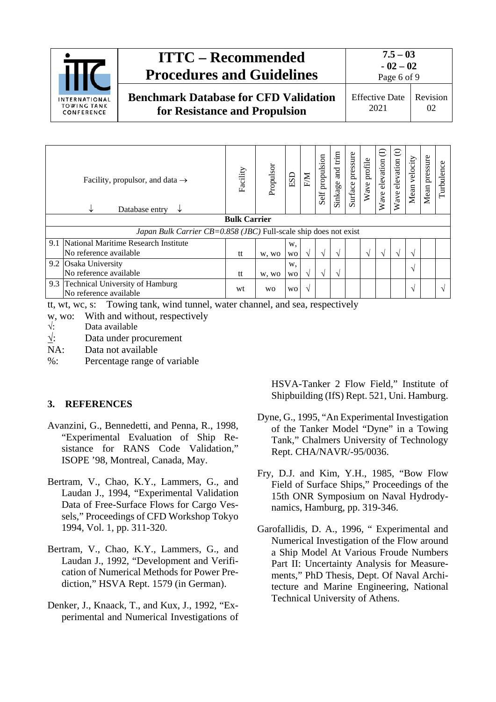

|                     | Facility, propulsor, and data $\rightarrow$<br>Database entry<br>↓<br>V | Facility | Propulsor | ESD       | EM | propulsion<br>Self | trim<br>$\overline{ad}$<br>Sinkage | pressure<br>Surface | profile<br>Wave | $\ominus$<br>elevation<br>Wave | $\oplus$<br>elevation<br>Wave | velocity<br>Mean | Mean pressure | Turbulence |
|---------------------|-------------------------------------------------------------------------|----------|-----------|-----------|----|--------------------|------------------------------------|---------------------|-----------------|--------------------------------|-------------------------------|------------------|---------------|------------|
| <b>Bulk Carrier</b> |                                                                         |          |           |           |    |                    |                                    |                     |                 |                                |                               |                  |               |            |
|                     | Japan Bulk Carrier CB=0.858 (JBC) Full-scale ship does not exist        |          |           |           |    |                    |                                    |                     |                 |                                |                               |                  |               |            |
|                     | 9.1 National Maritime Research Institute                                |          |           | w,        |    |                    |                                    |                     |                 |                                |                               |                  |               |            |
|                     | No reference available                                                  | tt       | w, wo     | WO        | V  | V                  | V                                  |                     | $\sqrt{ }$      | $\mathcal{N}$                  | $\Delta$                      | $\sim$           |               |            |
|                     | 9.2 Osaka University                                                    |          |           | w.        |    |                    |                                    |                     |                 |                                |                               | $\mathcal{N}$    |               |            |
|                     | No reference available                                                  | tt       | w, wo     | WO        | V  | V                  | V                                  |                     |                 |                                |                               |                  |               |            |
|                     | 9.3 Technical University of Hamburg<br>No reference available           | wt       | <b>WO</b> | <b>WO</b> | V  |                    |                                    |                     |                 |                                |                               | $\sqrt{ }$       |               | $\sim$     |

tt, wt, wc, s: Towing tank, wind tunnel, water channel, and sea, respectively

- w, wo: With and without, respectively  $\sqrt{ }$ : Data available
- Data available
- $\sqrt{ }$ : Data under procurement
- NA: Data not available
- %: Percentage range of variable

### <span id="page-5-0"></span>**3. REFERENCES**

- Avanzini, G., Bennedetti, and Penna, R., 1998, "Experimental Evaluation of Ship Resistance for RANS Code Validation," ISOPE '98, Montreal, Canada, May.
- Bertram, V., Chao, K.Y., Lammers, G., and Laudan J., 1994, "Experimental Validation Data of Free-Surface Flows for Cargo Vessels," Proceedings of CFD Workshop Tokyo 1994, Vol. 1, pp. 311-320.
- Bertram, V., Chao, K.Y., Lammers, G., and Laudan J., 1992, "Development and Verification of Numerical Methods for Power Prediction," HSVA Rept. 1579 (in German).
- Denker, J., Knaack, T., and Kux, J., 1992, "Experimental and Numerical Investigations of

HSVA-Tanker 2 Flow Field," Institute of Shipbuilding (IfS) Rept. 521, Uni. Hamburg.

- Dyne, G., 1995, "An Experimental Investigation of the Tanker Model "Dyne" in a Towing Tank," Chalmers University of Technology Rept. CHA/NAVR/-95/0036.
- Fry, D.J. and Kim, Y.H., 1985, "Bow Flow Field of Surface Ships," Proceedings of the 15th ONR Symposium on Naval Hydrodynamics, Hamburg, pp. 319-346.
- Garofallidis, D. A., 1996, " Experimental and Numerical Investigation of the Flow around a Ship Model At Various Froude Numbers Part II: Uncertainty Analysis for Measurements," PhD Thesis, Dept. Of Naval Architecture and Marine Engineering, National Technical University of Athens.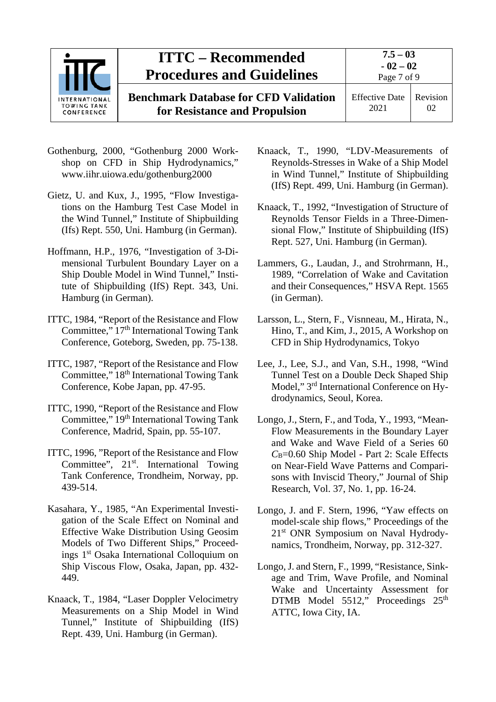

- Gothenburg, 2000, "Gothenburg 2000 Workshop on CFD in Ship Hydrodynamics," [www.iihr.uiowa.edu/gothenburg2000](http://www.iihr.uiowa.edu/gothenburg2000)
- Gietz, U. and Kux, J., 1995, "Flow Investigations on the Hamburg Test Case Model in the Wind Tunnel," Institute of Shipbuilding (Ifs) Rept. 550, Uni. Hamburg (in German).
- Hoffmann, H.P., 1976, "Investigation of 3-Dimensional Turbulent Boundary Layer on a Ship Double Model in Wind Tunnel," Institute of Shipbuilding (IfS) Rept. 343, Uni. Hamburg (in German).
- ITTC, 1984, "Report of the Resistance and Flow Committee,"  $17<sup>th</sup>$  International Towing Tank Conference, Goteborg, Sweden, pp. 75-138.
- ITTC, 1987, "Report of the Resistance and Flow Committee," 18th International Towing Tank Conference, Kobe Japan, pp. 47-95.
- ITTC, 1990, "Report of the Resistance and Flow Committee," 19th International Towing Tank Conference, Madrid, Spain, pp. 55-107.
- ITTC, 1996, "Report of the Resistance and Flow Committee", 21<sup>st</sup>. International Towing Tank Conference, Trondheim, Norway, pp. 439-514.
- Kasahara, Y., 1985, "An Experimental Investigation of the Scale Effect on Nominal and Effective Wake Distribution Using Geosim Models of Two Different Ships," Proceedings 1st Osaka International Colloquium on Ship Viscous Flow, Osaka, Japan, pp. 432- 449.
- Knaack, T., 1984, "Laser Doppler Velocimetry Measurements on a Ship Model in Wind Tunnel," Institute of Shipbuilding (IfS) Rept. 439, Uni. Hamburg (in German).
- Knaack, T., 1990, "LDV-Measurements of Reynolds-Stresses in Wake of a Ship Model in Wind Tunnel," Institute of Shipbuilding (IfS) Rept. 499, Uni. Hamburg (in German).
- Knaack, T., 1992, "Investigation of Structure of Reynolds Tensor Fields in a Three-Dimensional Flow," Institute of Shipbuilding (IfS) Rept. 527, Uni. Hamburg (in German).
- Lammers, G., Laudan, J., and Strohrmann, H., 1989, "Correlation of Wake and Cavitation and their Consequences," HSVA Rept. 1565 (in German).
- Larsson, L., Stern, F., Visnneau, M., Hirata, N., Hino, T., and Kim, J., 2015, A Workshop on CFD in Ship Hydrodynamics, Tokyo
- Lee, J., Lee, S.J., and Van, S.H., 1998, "Wind Tunnel Test on a Double Deck Shaped Ship Model," 3rd International Conference on Hydrodynamics, Seoul, Korea.
- Longo, J., Stern, F., and Toda, Y., 1993, "Mean-Flow Measurements in the Boundary Layer and Wake and Wave Field of a Series 60 *C*B=0.60 Ship Model - Part 2: Scale Effects on Near-Field Wave Patterns and Comparisons with Inviscid Theory," Journal of Ship Research, Vol. 37, No. 1, pp. 16-24.
- Longo, J. and F. Stern, 1996, "Yaw effects on model-scale ship flows," Proceedings of the 21st ONR Symposium on Naval Hydrodynamics, Trondheim, Norway, pp. 312-327.
- Longo, J. and Stern, F., 1999, "Resistance, Sinkage and Trim, Wave Profile, and Nominal Wake and Uncertainty Assessment for DTMB Model 5512," Proceedings 25<sup>th</sup> ATTC, Iowa City, IA.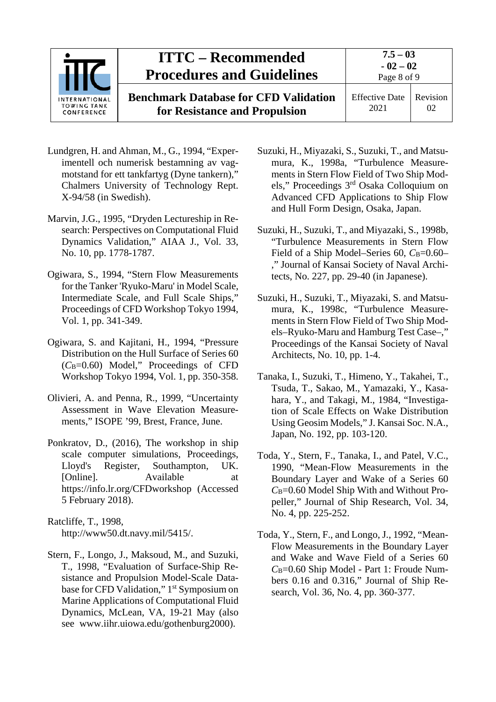

- Lundgren, H. and Ahman, M., G., 1994, "Experimentell och numerisk bestamning av vagmotstand for ett tankfartyg (Dyne tankern)," Chalmers University of Technology Rept. X-94/58 (in Swedish).
- Marvin, J.G., 1995, "Dryden Lectureship in Research: Perspectives on Computational Fluid Dynamics Validation," AIAA J., Vol. 33, No. 10, pp. 1778-1787.
- Ogiwara, S., 1994, "Stern Flow Measurements for the Tanker 'Ryuko-Maru' in Model Scale, Intermediate Scale, and Full Scale Ships," Proceedings of CFD Workshop Tokyo 1994, Vol. 1, pp. 341-349.
- Ogiwara, S. and Kajitani, H., 1994, "Pressure Distribution on the Hull Surface of Series 60 (*C*B=0.60) Model," Proceedings of CFD Workshop Tokyo 1994, Vol. 1, pp. 350-358.
- Olivieri, A. and Penna, R., 1999, "Uncertainty Assessment in Wave Elevation Measurements," ISOPE '99, Brest, France, June.
- Ponkratov, D., (2016), The workshop in ship scale computer simulations, Proceedings, Lloyd's Register, Southampton, UK. [Online]. Available at https://info.lr.org/CFDworkshop (Accessed 5 February 2018).

Ratcliffe, T., 1998, [http://www50.dt.navy.mil/5415/.](http://www50.dt.navy.mil/5415/)

Stern, F., Longo, J., Maksoud, M., and Suzuki, T., 1998, "Evaluation of Surface-Ship Resistance and Propulsion Model-Scale Database for CFD Validation," 1<sup>st</sup> Symposium on Marine Applications of Computational Fluid Dynamics, McLean, VA, 19-21 May (also see [www.iihr.uiowa.edu/gothenburg2000\)](http://www.iihr.uiowa.edu/gothenburg2000).

- Suzuki, H., Miyazaki, S., Suzuki, T., and Matsumura, K., 1998a, "Turbulence Measurements in Stern Flow Field of Two Ship Models," Proceedings 3rd Osaka Colloquium on Advanced CFD Applications to Ship Flow and Hull Form Design, Osaka, Japan.
- Suzuki, H., Suzuki, T., and Miyazaki, S., 1998b, "Turbulence Measurements in Stern Flow Field of a Ship Model–Series 60, C<sub>B</sub>=0.60– ," Journal of Kansai Society of Naval Architects, No. 227, pp. 29-40 (in Japanese).
- Suzuki, H., Suzuki, T., Miyazaki, S. and Matsumura, K., 1998c, "Turbulence Measurements in Stern Flow Field of Two Ship Models–Ryuko-Maru and Hamburg Test Case–," Proceedings of the Kansai Society of Naval Architects, No. 10, pp. 1-4.
- Tanaka, I., Suzuki, T., Himeno, Y., Takahei, T., Tsuda, T., Sakao, M., Yamazaki, Y., Kasahara, Y., and Takagi, M., 1984, "Investigation of Scale Effects on Wake Distribution Using Geosim Models," J. Kansai Soc. N.A., Japan, No. 192, pp. 103-120.
- Toda, Y., Stern, F., Tanaka, I., and Patel, V.C., 1990, "Mean-Flow Measurements in the Boundary Layer and Wake of a Series 60 *C*B=0.60 Model Ship With and Without Propeller," Journal of Ship Research, Vol. 34, No. 4, pp. 225-252.
- Toda, Y., Stern, F., and Longo, J., 1992, "Mean-Flow Measurements in the Boundary Layer and Wake and Wave Field of a Series 60 *C*B=0.60 Ship Model - Part 1: Froude Numbers 0.16 and 0.316," Journal of Ship Research, Vol. 36, No. 4, pp. 360-377.